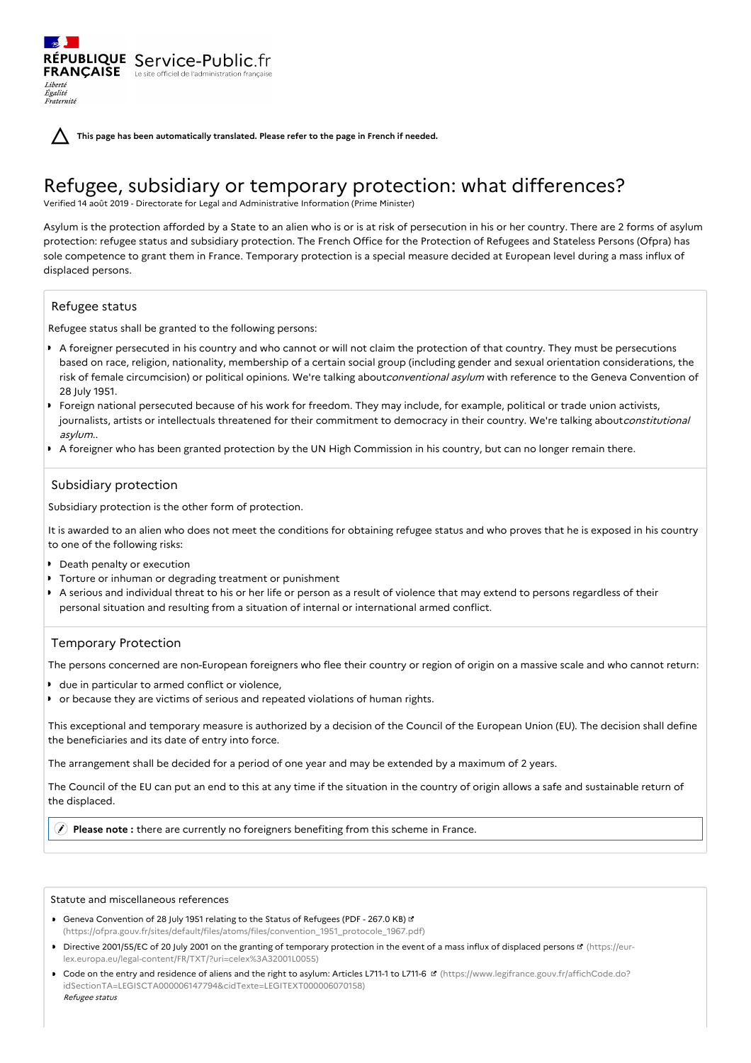**This page has been automatically translated. Please refer to the page in French if needed.**

# Refugee, subsidiary or temporary protection: what differences?

Verified 14 août 2019 - Directorate for Legal and Administrative Information (Prime Minister)

Asylum is the protection afforded by a State to an alien who is or is at risk of persecution in his or her country. There are 2 forms of asylum protection: refugee status and subsidiary protection. The French Office for the Protection of Refugees and Stateless Persons (Ofpra) has sole competence to grant them in France. Temporary protection is a special measure decided at European level during a mass influx of displaced persons.

## Refugee status

Liberté Égalité Fraternité

Refugee status shall be granted to the following persons:

RÉPUBLIQUE Service-Public.fr **FRANÇAISE** Le site officiel de l'administration fran

- A foreigner persecuted in his country and who cannot or will not claim the protection of that country. They must be persecutions based on race, religion, nationality, membership of a certain social group (including gender and sexual orientation considerations, the risk of female circumcision) or political opinions. We're talking aboutconventional asylum with reference to the Geneva Convention of 28 July 1951.
- Foreign national persecuted because of his work for freedom. They may include, for example, political or trade union activists, journalists, artists or intellectuals threatened for their commitment to democracy in their country. We're talking aboutconstitutional asylum..
- A foreigner who has been granted protection by the UN High Commission in his country, but can no longer remain there.

## Subsidiary protection

Subsidiary protection is the other form of protection.

It is awarded to an alien who does not meet the conditions for obtaining refugee status and who proves that he is exposed in his country to one of the following risks:

- **Death penalty or execution**
- **Torture or inhuman or degrading treatment or punishment**
- A serious and individual threat to his or her life or person as a result of violence that may extend to persons regardless of their personal situation and resulting from a situation of internal or international armed conflict.

## Temporary Protection

The persons concerned are non-European foreigners who flee their country or region of origin on a massive scale and who cannot return:

- due in particular to armed conflict or violence,
- or because they are victims of serious and repeated violations of human rights.

This exceptional and temporary measure is authorized by a decision of the Council of the European Union (EU). The decision shall define the beneficiaries and its date of entry into force.

The arrangement shall be decided for a period of one year and may be extended by a maximum of 2 years.

The Council of the EU can put an end to this at any time if the situation in the country of origin allows a safe and sustainable return of the displaced.

**Please note :** there are currently no foreigners benefiting from this scheme in France.

#### Statute and miscellaneous references

- Geneva Convention of 28 July 1951 relating to the Status of Refugees (PDF 267.0 KB) [\(https://ofpra.gouv.fr/sites/default/files/atoms/files/convention\\_1951\\_protocole\\_1967.pdf\)](https://ofpra.gouv.fr/sites/default/files/atoms/files/convention_1951_protocole_1967.pdf)
- Directive 2001/55/EC of 20 July 2001 on the granting of temporary protection in the event of a mass influx of displaced persons **¤** (https://eur[lex.europa.eu/legal-content/FR/TXT/?uri=celex%3A32001L0055\)](https://eur-lex.europa.eu/legal-content/FR/TXT/?uri=celex%253A32001L0055)
- Code on the entry and residence of aliens and the right to asylum: Articles L711-1 to L711-6 (https://www.legifrance.gouv.fr/affichCode.do? [idSectionTA=LEGISCTA000006147794&cidTexte=LEGITEXT000006070158\)](https://www.legifrance.gouv.fr/affichCode.do?idSectionTA=LEGISCTA000006147794&cidTexte=LEGITEXT000006070158) Refugee status